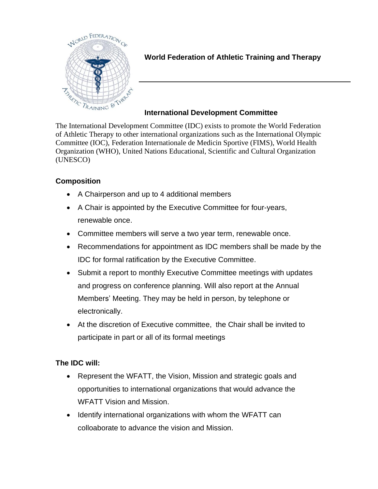

## **World Federation of Athletic Training and Therapy**

## **International Development Committee**

The International Development Committee (IDC) exists to promote the World Federation of Athletic Therapy to other international organizations such as the International Olympic Committee (IOC), Federation Internationale de Medicin Sportive (FIMS), World Health Organization (WHO), United Nations Educational, Scientific and Cultural Organization (UNESCO)

## **Composition**

- A Chairperson and up to 4 additional members
- A Chair is appointed by the Executive Committee for four-years, renewable once.
- Committee members will serve a two year term, renewable once.
- Recommendations for appointment as IDC members shall be made by the IDC for formal ratification by the Executive Committee.
- Submit a report to monthly Executive Committee meetings with updates and progress on conference planning. Will also report at the Annual Members' Meeting. They may be held in person, by telephone or electronically.
- At the discretion of Executive committee, the Chair shall be invited to participate in part or all of its formal meetings

## **The IDC will:**

- Represent the WFATT, the Vision, Mission and strategic goals and opportunities to international organizations that would advance the WFATT Vision and Mission.
- Identify international organizations with whom the WFATT can colloaborate to advance the vision and Mission.